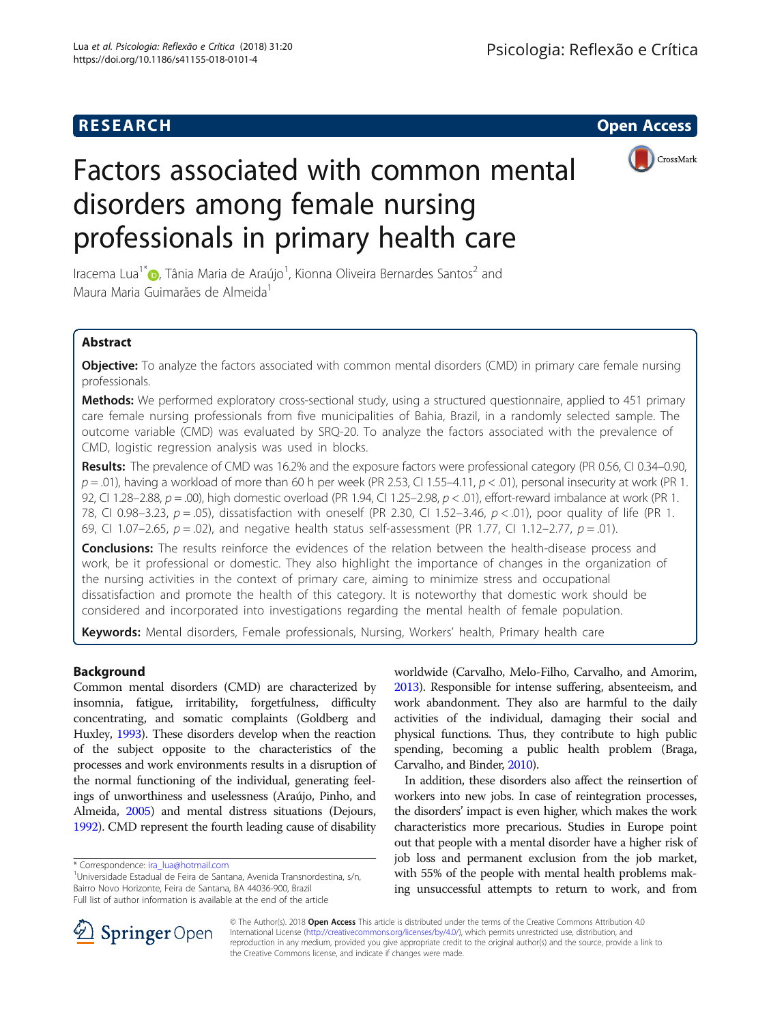

# Factors associated with common mental disorders among female nursing professionals in primary health care

Iracema Lua<sup>1</sup>\*®[,](http://orcid.org/0000-0002-5760-5073) Tânia Maria de Araújo<sup>1</sup>, Kionna Oliveira Bernardes Santos<sup>2</sup> and Maura Maria Guimarães de Almeida<sup>1</sup>

# Abstract

Objective: To analyze the factors associated with common mental disorders (CMD) in primary care female nursing professionals.

Methods: We performed exploratory cross-sectional study, using a structured questionnaire, applied to 451 primary care female nursing professionals from five municipalities of Bahia, Brazil, in a randomly selected sample. The outcome variable (CMD) was evaluated by SRQ-20. To analyze the factors associated with the prevalence of CMD, logistic regression analysis was used in blocks.

Results: The prevalence of CMD was 16.2% and the exposure factors were professional category (PR 0.56, CI 0.34–0.90,  $p = .01$ ), having a workload of more than 60 h per week (PR 2.53, CI 1.55–4.11,  $p < .01$ ), personal insecurity at work (PR 1. 92, CI 1.28–2.88,  $p = .00$ ), high domestic overload (PR 1.94, CI 1.25–2.98,  $p < .01$ ), effort-reward imbalance at work (PR 1. 78, CI 0.98-3.23,  $p = .05$ ), dissatisfaction with oneself (PR 2.30, CI 1.52-3.46,  $p < .01$ ), poor quality of life (PR 1. 69, CI 1.07–2.65,  $p = .02$ ), and negative health status self-assessment (PR 1.77, CI 1.12–2.77,  $p = .01$ ).

**Conclusions:** The results reinforce the evidences of the relation between the health-disease process and work, be it professional or domestic. They also highlight the importance of changes in the organization of the nursing activities in the context of primary care, aiming to minimize stress and occupational dissatisfaction and promote the health of this category. It is noteworthy that domestic work should be considered and incorporated into investigations regarding the mental health of female population.

Keywords: Mental disorders, Female professionals, Nursing, Workers' health, Primary health care

## Background

Common mental disorders (CMD) are characterized by insomnia, fatigue, irritability, forgetfulness, difficulty concentrating, and somatic complaints (Goldberg and Huxley, [1993](#page-12-0)). These disorders develop when the reaction of the subject opposite to the characteristics of the processes and work environments results in a disruption of the normal functioning of the individual, generating feelings of unworthiness and uselessness (Araújo, Pinho, and Almeida, [2005](#page-12-0)) and mental distress situations (Dejours, [1992\)](#page-12-0). CMD represent the fourth leading cause of disability

worldwide (Carvalho, Melo-Filho, Carvalho, and Amorim, [2013\)](#page-12-0). Responsible for intense suffering, absenteeism, and work abandonment. They also are harmful to the daily activities of the individual, damaging their social and physical functions. Thus, they contribute to high public spending, becoming a public health problem (Braga, Carvalho, and Binder, [2010](#page-12-0)).

In addition, these disorders also affect the reinsertion of workers into new jobs. In case of reintegration processes, the disorders' impact is even higher, which makes the work characteristics more precarious. Studies in Europe point out that people with a mental disorder have a higher risk of job loss and permanent exclusion from the job market, with 55% of the people with mental health problems making unsuccessful attempts to return to work, and from



© The Author(s). 2018 Open Access This article is distributed under the terms of the Creative Commons Attribution 4.0 International License ([http://creativecommons.org/licenses/by/4.0/\)](http://creativecommons.org/licenses/by/4.0/), which permits unrestricted use, distribution, and reproduction in any medium, provided you give appropriate credit to the original author(s) and the source, provide a link to the Creative Commons license, and indicate if changes were made.

<sup>\*</sup> Correspondence: [ira\\_lua@hotmail.com](mailto:ira_lua@hotmail.com) <sup>1</sup>

Universidade Estadual de Feira de Santana, Avenida Transnordestina, s/n, Bairro Novo Horizonte, Feira de Santana, BA 44036-900, Brazil Full list of author information is available at the end of the article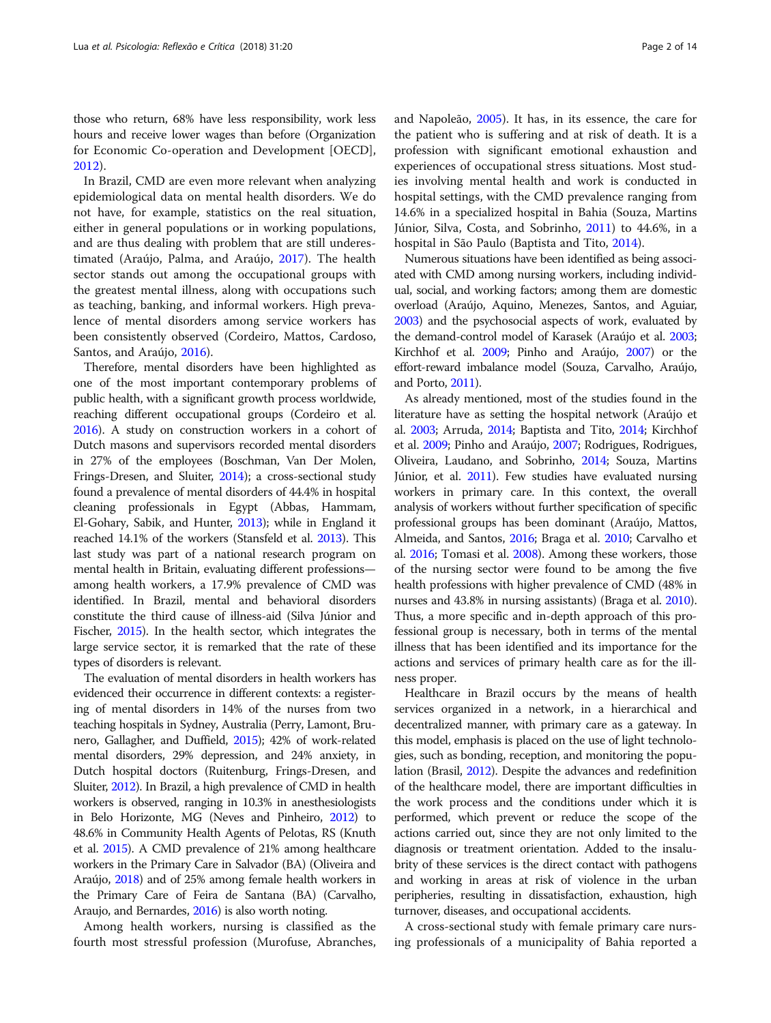those who return, 68% have less responsibility, work less hours and receive lower wages than before (Organization for Economic Co-operation and Development [OECD], [2012\)](#page-13-0).

In Brazil, CMD are even more relevant when analyzing epidemiological data on mental health disorders. We do not have, for example, statistics on the real situation, either in general populations or in working populations, and are thus dealing with problem that are still underestimated (Araújo, Palma, and Araújo, [2017](#page-12-0)). The health sector stands out among the occupational groups with the greatest mental illness, along with occupations such as teaching, banking, and informal workers. High prevalence of mental disorders among service workers has been consistently observed (Cordeiro, Mattos, Cardoso, Santos, and Araújo, [2016](#page-12-0)).

Therefore, mental disorders have been highlighted as one of the most important contemporary problems of public health, with a significant growth process worldwide, reaching different occupational groups (Cordeiro et al. [2016\)](#page-12-0). A study on construction workers in a cohort of Dutch masons and supervisors recorded mental disorders in 27% of the employees (Boschman, Van Der Molen, Frings-Dresen, and Sluiter, [2014\)](#page-12-0); a cross-sectional study found a prevalence of mental disorders of 44.4% in hospital cleaning professionals in Egypt (Abbas, Hammam, El-Gohary, Sabik, and Hunter, [2013\)](#page-12-0); while in England it reached 14.1% of the workers (Stansfeld et al. [2013](#page-13-0)). This last study was part of a national research program on mental health in Britain, evaluating different professions among health workers, a 17.9% prevalence of CMD was identified. In Brazil, mental and behavioral disorders constitute the third cause of illness-aid (Silva Júnior and Fischer, [2015\)](#page-13-0). In the health sector, which integrates the large service sector, it is remarked that the rate of these types of disorders is relevant.

The evaluation of mental disorders in health workers has evidenced their occurrence in different contexts: a registering of mental disorders in 14% of the nurses from two teaching hospitals in Sydney, Australia (Perry, Lamont, Brunero, Gallagher, and Duffield, [2015](#page-13-0)); 42% of work-related mental disorders, 29% depression, and 24% anxiety, in Dutch hospital doctors (Ruitenburg, Frings-Dresen, and Sluiter, [2012\)](#page-13-0). In Brazil, a high prevalence of CMD in health workers is observed, ranging in 10.3% in anesthesiologists in Belo Horizonte, MG (Neves and Pinheiro, [2012\)](#page-13-0) to 48.6% in Community Health Agents of Pelotas, RS (Knuth et al. [2015\)](#page-12-0). A CMD prevalence of 21% among healthcare workers in the Primary Care in Salvador (BA) (Oliveira and Araújo, [2018\)](#page-13-0) and of 25% among female health workers in the Primary Care of Feira de Santana (BA) (Carvalho, Araujo, and Bernardes, [2016\)](#page-12-0) is also worth noting.

Among health workers, nursing is classified as the fourth most stressful profession (Murofuse, Abranches, and Napoleão, [2005\)](#page-13-0). It has, in its essence, the care for the patient who is suffering and at risk of death. It is a profession with significant emotional exhaustion and experiences of occupational stress situations. Most studies involving mental health and work is conducted in hospital settings, with the CMD prevalence ranging from 14.6% in a specialized hospital in Bahia (Souza, Martins Júnior, Silva, Costa, and Sobrinho, [2011\)](#page-13-0) to 44.6%, in a hospital in São Paulo (Baptista and Tito, [2014\)](#page-12-0).

Numerous situations have been identified as being associated with CMD among nursing workers, including individual, social, and working factors; among them are domestic overload (Araújo, Aquino, Menezes, Santos, and Aguiar, [2003\)](#page-12-0) and the psychosocial aspects of work, evaluated by the demand-control model of Karasek (Araújo et al. [2003](#page-12-0); Kirchhof et al. [2009;](#page-12-0) Pinho and Araújo, [2007\)](#page-13-0) or the effort-reward imbalance model (Souza, Carvalho, Araújo, and Porto, [2011](#page-13-0)).

As already mentioned, most of the studies found in the literature have as setting the hospital network (Araújo et al. [2003](#page-12-0); Arruda, [2014](#page-12-0); Baptista and Tito, [2014;](#page-12-0) Kirchhof et al. [2009;](#page-12-0) Pinho and Araújo, [2007](#page-13-0); Rodrigues, Rodrigues, Oliveira, Laudano, and Sobrinho, [2014;](#page-13-0) Souza, Martins Júnior, et al. [2011](#page-13-0)). Few studies have evaluated nursing workers in primary care. In this context, the overall analysis of workers without further specification of specific professional groups has been dominant (Araújo, Mattos, Almeida, and Santos, [2016;](#page-12-0) Braga et al. [2010](#page-12-0); Carvalho et al. [2016;](#page-12-0) Tomasi et al. [2008\)](#page-13-0). Among these workers, those of the nursing sector were found to be among the five health professions with higher prevalence of CMD (48% in nurses and 43.8% in nursing assistants) (Braga et al. [2010](#page-12-0)). Thus, a more specific and in-depth approach of this professional group is necessary, both in terms of the mental illness that has been identified and its importance for the actions and services of primary health care as for the illness proper.

Healthcare in Brazil occurs by the means of health services organized in a network, in a hierarchical and decentralized manner, with primary care as a gateway. In this model, emphasis is placed on the use of light technologies, such as bonding, reception, and monitoring the population (Brasil, [2012\)](#page-12-0). Despite the advances and redefinition of the healthcare model, there are important difficulties in the work process and the conditions under which it is performed, which prevent or reduce the scope of the actions carried out, since they are not only limited to the diagnosis or treatment orientation. Added to the insalubrity of these services is the direct contact with pathogens and working in areas at risk of violence in the urban peripheries, resulting in dissatisfaction, exhaustion, high turnover, diseases, and occupational accidents.

A cross-sectional study with female primary care nursing professionals of a municipality of Bahia reported a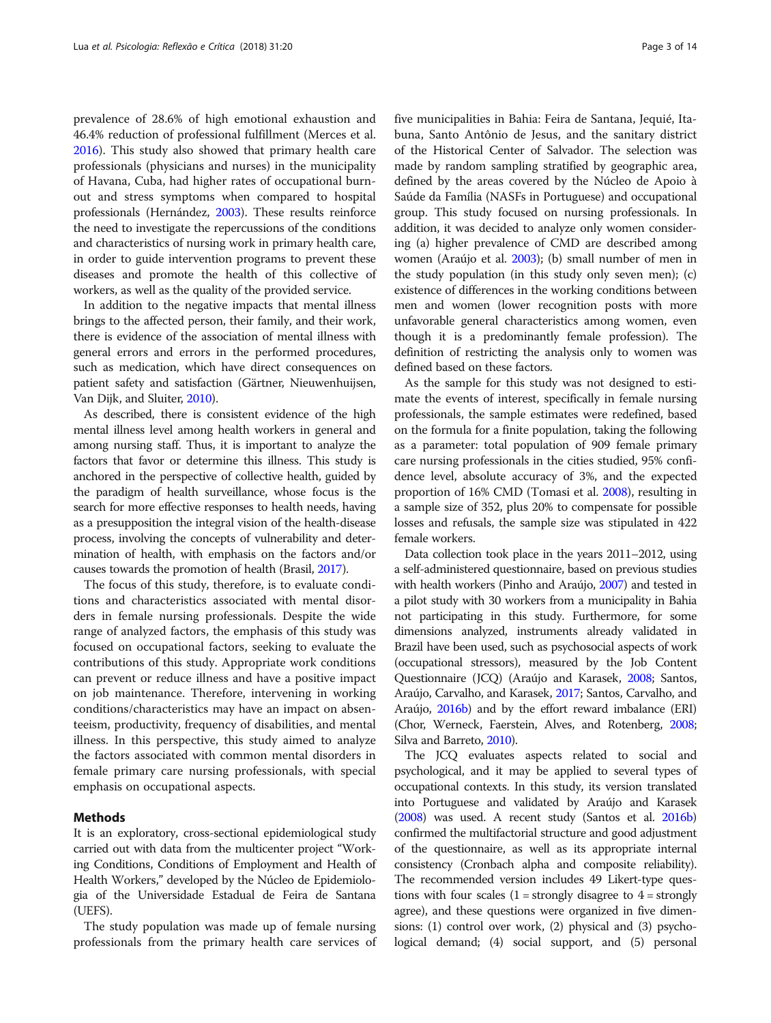prevalence of 28.6% of high emotional exhaustion and 46.4% reduction of professional fulfillment (Merces et al. [2016](#page-13-0)). This study also showed that primary health care professionals (physicians and nurses) in the municipality of Havana, Cuba, had higher rates of occupational burnout and stress symptoms when compared to hospital professionals (Hernández, [2003\)](#page-12-0). These results reinforce the need to investigate the repercussions of the conditions and characteristics of nursing work in primary health care, in order to guide intervention programs to prevent these diseases and promote the health of this collective of workers, as well as the quality of the provided service.

In addition to the negative impacts that mental illness brings to the affected person, their family, and their work, there is evidence of the association of mental illness with general errors and errors in the performed procedures, such as medication, which have direct consequences on patient safety and satisfaction (Gärtner, Nieuwenhuijsen, Van Dijk, and Sluiter, [2010\)](#page-12-0).

As described, there is consistent evidence of the high mental illness level among health workers in general and among nursing staff. Thus, it is important to analyze the factors that favor or determine this illness. This study is anchored in the perspective of collective health, guided by the paradigm of health surveillance, whose focus is the search for more effective responses to health needs, having as a presupposition the integral vision of the health-disease process, involving the concepts of vulnerability and determination of health, with emphasis on the factors and/or causes towards the promotion of health (Brasil, [2017](#page-12-0)).

The focus of this study, therefore, is to evaluate conditions and characteristics associated with mental disorders in female nursing professionals. Despite the wide range of analyzed factors, the emphasis of this study was focused on occupational factors, seeking to evaluate the contributions of this study. Appropriate work conditions can prevent or reduce illness and have a positive impact on job maintenance. Therefore, intervening in working conditions/characteristics may have an impact on absenteeism, productivity, frequency of disabilities, and mental illness. In this perspective, this study aimed to analyze the factors associated with common mental disorders in female primary care nursing professionals, with special emphasis on occupational aspects.

#### Methods

It is an exploratory, cross-sectional epidemiological study carried out with data from the multicenter project "Working Conditions, Conditions of Employment and Health of Health Workers," developed by the Núcleo de Epidemiologia of the Universidade Estadual de Feira de Santana (UEFS).

The study population was made up of female nursing professionals from the primary health care services of five municipalities in Bahia: Feira de Santana, Jequié, Itabuna, Santo Antônio de Jesus, and the sanitary district of the Historical Center of Salvador. The selection was made by random sampling stratified by geographic area, defined by the areas covered by the Núcleo de Apoio à Saúde da Família (NASFs in Portuguese) and occupational group. This study focused on nursing professionals. In addition, it was decided to analyze only women considering (a) higher prevalence of CMD are described among women (Araújo et al. [2003\)](#page-12-0); (b) small number of men in the study population (in this study only seven men); (c) existence of differences in the working conditions between men and women (lower recognition posts with more unfavorable general characteristics among women, even though it is a predominantly female profession). The definition of restricting the analysis only to women was defined based on these factors.

As the sample for this study was not designed to estimate the events of interest, specifically in female nursing professionals, the sample estimates were redefined, based on the formula for a finite population, taking the following as a parameter: total population of 909 female primary care nursing professionals in the cities studied, 95% confidence level, absolute accuracy of 3%, and the expected proportion of 16% CMD (Tomasi et al. [2008\)](#page-13-0), resulting in a sample size of 352, plus 20% to compensate for possible losses and refusals, the sample size was stipulated in 422 female workers.

Data collection took place in the years 2011–2012, using a self-administered questionnaire, based on previous studies with health workers (Pinho and Araújo, [2007\)](#page-13-0) and tested in a pilot study with 30 workers from a municipality in Bahia not participating in this study. Furthermore, for some dimensions analyzed, instruments already validated in Brazil have been used, such as psychosocial aspects of work (occupational stressors), measured by the Job Content Questionnaire (JCQ) (Araújo and Karasek, [2008;](#page-12-0) Santos, Araújo, Carvalho, and Karasek, [2017](#page-13-0); Santos, Carvalho, and Araújo, [2016b\)](#page-13-0) and by the effort reward imbalance (ERI) (Chor, Werneck, Faerstein, Alves, and Rotenberg, [2008](#page-12-0); Silva and Barreto, [2010](#page-13-0)).

The JCQ evaluates aspects related to social and psychological, and it may be applied to several types of occupational contexts. In this study, its version translated into Portuguese and validated by Araújo and Karasek ([2008\)](#page-12-0) was used. A recent study (Santos et al. [2016b](#page-13-0)) confirmed the multifactorial structure and good adjustment of the questionnaire, as well as its appropriate internal consistency (Cronbach alpha and composite reliability). The recommended version includes 49 Likert-type questions with four scales  $(1 =$  strongly disagree to  $4 =$  strongly agree), and these questions were organized in five dimensions: (1) control over work, (2) physical and (3) psychological demand; (4) social support, and (5) personal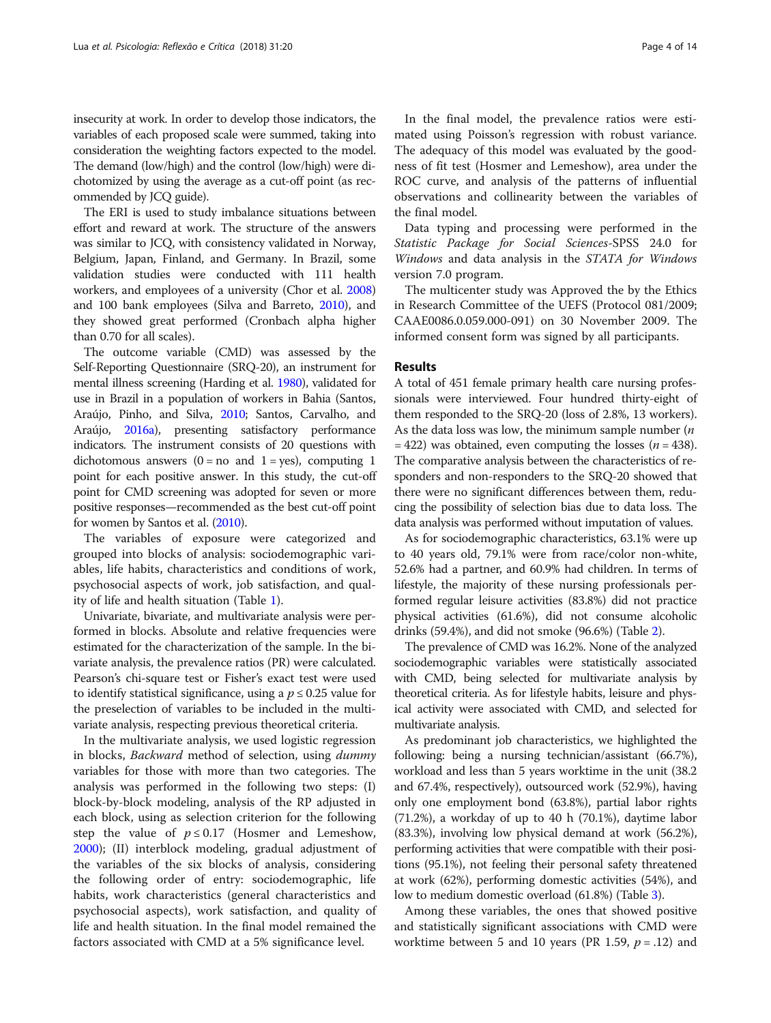insecurity at work. In order to develop those indicators, the variables of each proposed scale were summed, taking into consideration the weighting factors expected to the model. The demand (low/high) and the control (low/high) were dichotomized by using the average as a cut-off point (as recommended by JCQ guide).

The ERI is used to study imbalance situations between effort and reward at work. The structure of the answers was similar to JCQ, with consistency validated in Norway, Belgium, Japan, Finland, and Germany. In Brazil, some validation studies were conducted with 111 health workers, and employees of a university (Chor et al. [2008](#page-12-0)) and 100 bank employees (Silva and Barreto, [2010](#page-13-0)), and they showed great performed (Cronbach alpha higher than 0.70 for all scales).

The outcome variable (CMD) was assessed by the Self-Reporting Questionnaire (SRQ-20), an instrument for mental illness screening (Harding et al. [1980](#page-12-0)), validated for use in Brazil in a population of workers in Bahia (Santos, Araújo, Pinho, and Silva, [2010;](#page-13-0) Santos, Carvalho, and Araújo, [2016a](#page-13-0)), presenting satisfactory performance indicators. The instrument consists of 20 questions with dichotomous answers  $(0 = no$  and  $1 = yes)$ , computing 1 point for each positive answer. In this study, the cut-off point for CMD screening was adopted for seven or more positive responses—recommended as the best cut-off point for women by Santos et al. [\(2010\)](#page-13-0).

The variables of exposure were categorized and grouped into blocks of analysis: sociodemographic variables, life habits, characteristics and conditions of work, psychosocial aspects of work, job satisfaction, and quality of life and health situation (Table [1\)](#page-4-0).

Univariate, bivariate, and multivariate analysis were performed in blocks. Absolute and relative frequencies were estimated for the characterization of the sample. In the bivariate analysis, the prevalence ratios (PR) were calculated. Pearson's chi-square test or Fisher's exact test were used to identify statistical significance, using a  $p \leq 0.25$  value for the preselection of variables to be included in the multivariate analysis, respecting previous theoretical criteria.

In the multivariate analysis, we used logistic regression in blocks, Backward method of selection, using dummy variables for those with more than two categories. The analysis was performed in the following two steps: (I) block-by-block modeling, analysis of the RP adjusted in each block, using as selection criterion for the following step the value of  $p \le 0.17$  (Hosmer and Lemeshow, [2000](#page-12-0)); (II) interblock modeling, gradual adjustment of the variables of the six blocks of analysis, considering the following order of entry: sociodemographic, life habits, work characteristics (general characteristics and psychosocial aspects), work satisfaction, and quality of life and health situation. In the final model remained the factors associated with CMD at a 5% significance level.

In the final model, the prevalence ratios were estimated using Poisson's regression with robust variance. The adequacy of this model was evaluated by the goodness of fit test (Hosmer and Lemeshow), area under the ROC curve, and analysis of the patterns of influential observations and collinearity between the variables of the final model.

Data typing and processing were performed in the Statistic Package for Social Sciences-SPSS 24.0 for Windows and data analysis in the STATA for Windows version 7.0 program.

The multicenter study was Approved the by the Ethics in Research Committee of the UEFS (Protocol 081/2009; CAAE0086.0.059.000-091) on 30 November 2009. The informed consent form was signed by all participants.

### Results

A total of 451 female primary health care nursing professionals were interviewed. Four hundred thirty-eight of them responded to the SRQ-20 (loss of 2.8%, 13 workers). As the data loss was low, the minimum sample number  $(n)$  $= 422$ ) was obtained, even computing the losses (*n* = 438). The comparative analysis between the characteristics of responders and non-responders to the SRQ-20 showed that there were no significant differences between them, reducing the possibility of selection bias due to data loss. The data analysis was performed without imputation of values.

As for sociodemographic characteristics, 63.1% were up to 40 years old, 79.1% were from race/color non-white, 52.6% had a partner, and 60.9% had children. In terms of lifestyle, the majority of these nursing professionals performed regular leisure activities (83.8%) did not practice physical activities (61.6%), did not consume alcoholic drinks (59.4%), and did not smoke (96.6%) (Table [2\)](#page-6-0).

The prevalence of CMD was 16.2%. None of the analyzed sociodemographic variables were statistically associated with CMD, being selected for multivariate analysis by theoretical criteria. As for lifestyle habits, leisure and physical activity were associated with CMD, and selected for multivariate analysis.

As predominant job characteristics, we highlighted the following: being a nursing technician/assistant (66.7%), workload and less than 5 years worktime in the unit (38.2 and 67.4%, respectively), outsourced work (52.9%), having only one employment bond (63.8%), partial labor rights (71.2%), a workday of up to 40 h (70.1%), daytime labor (83.3%), involving low physical demand at work (56.2%), performing activities that were compatible with their positions (95.1%), not feeling their personal safety threatened at work (62%), performing domestic activities (54%), and low to medium domestic overload (61.8%) (Table [3](#page-7-0)).

Among these variables, the ones that showed positive and statistically significant associations with CMD were worktime between 5 and 10 years (PR 1.59,  $p = .12$ ) and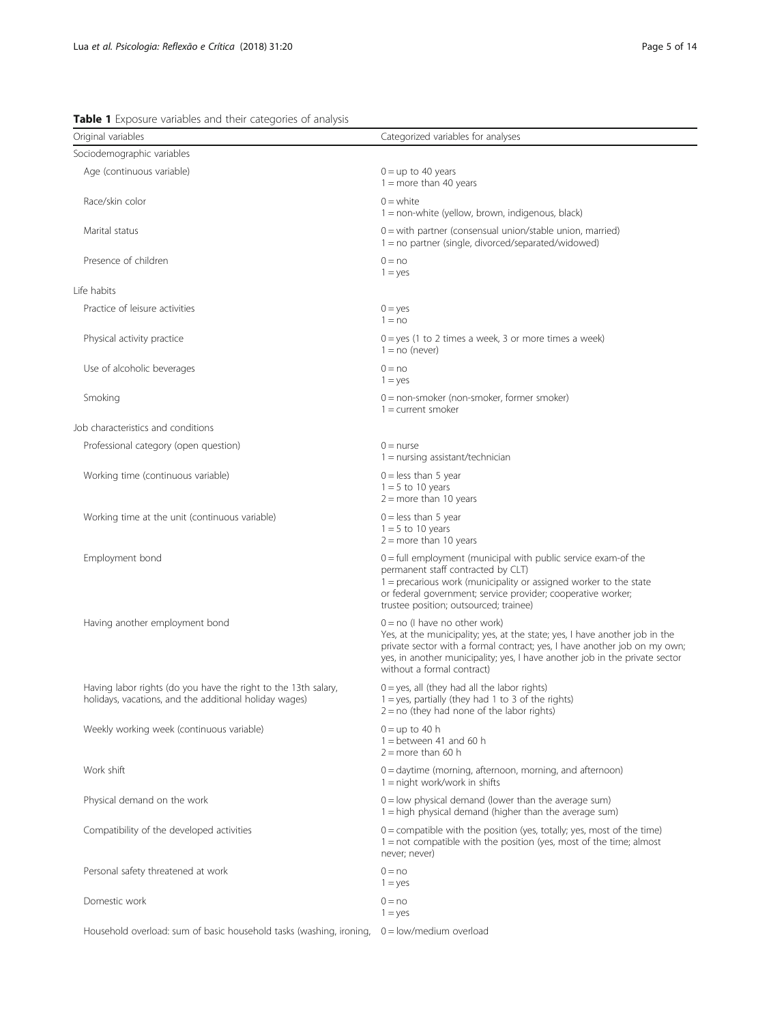<span id="page-4-0"></span>

|  |  |  | Table 1 Exposure variables and their categories of analysis |  |  |
|--|--|--|-------------------------------------------------------------|--|--|
|  |  |  |                                                             |  |  |

| Original variables                                                                                                       | Categorized variables for analyses                                                                                                                                                                                                                                                                       |
|--------------------------------------------------------------------------------------------------------------------------|----------------------------------------------------------------------------------------------------------------------------------------------------------------------------------------------------------------------------------------------------------------------------------------------------------|
| Sociodemographic variables                                                                                               |                                                                                                                                                                                                                                                                                                          |
| Age (continuous variable)                                                                                                | $0 =$ up to 40 years<br>$1 =$ more than 40 years                                                                                                                                                                                                                                                         |
| Race/skin color                                                                                                          | $0 =$ white<br>1 = non-white (yellow, brown, indigenous, black)                                                                                                                                                                                                                                          |
| Marital status                                                                                                           | $0 =$ with partner (consensual union/stable union, married)<br>$1 = no$ partner (single, divorced/separated/widowed)                                                                                                                                                                                     |
| Presence of children                                                                                                     | $0 = no$<br>$1 = yes$                                                                                                                                                                                                                                                                                    |
| Life habits                                                                                                              |                                                                                                                                                                                                                                                                                                          |
| Practice of leisure activities                                                                                           | $0 = yes$<br>$1 = no$                                                                                                                                                                                                                                                                                    |
| Physical activity practice                                                                                               | $0 = yes$ (1 to 2 times a week, 3 or more times a week)<br>$1 = no$ (never)                                                                                                                                                                                                                              |
| Use of alcoholic beverages                                                                                               | $0 = no$<br>$1 = yes$                                                                                                                                                                                                                                                                                    |
| Smoking                                                                                                                  | 0 = non-smoker (non-smoker, former smoker)<br>$1 =$ current smoker                                                                                                                                                                                                                                       |
| Job characteristics and conditions                                                                                       |                                                                                                                                                                                                                                                                                                          |
| Professional category (open question)                                                                                    | $0 =$ nurse<br>$1 =$ nursing assistant/technician                                                                                                                                                                                                                                                        |
| Working time (continuous variable)                                                                                       | $0 =$ less than 5 year<br>$1 = 5$ to 10 years<br>$2 =$ more than 10 years                                                                                                                                                                                                                                |
| Working time at the unit (continuous variable)                                                                           | $0 =$ less than 5 year<br>$1 = 5$ to 10 years<br>$2 =$ more than 10 years                                                                                                                                                                                                                                |
| Employment bond                                                                                                          | $0 =$ full employment (municipal with public service exam-of the<br>permanent staff contracted by CLT)<br>$1 =$ precarious work (municipality or assigned worker to the state<br>or federal government; service provider; cooperative worker;<br>trustee position; outsourced; trainee)                  |
| Having another employment bond                                                                                           | $0 = no$ (I have no other work)<br>Yes, at the municipality; yes, at the state; yes, I have another job in the<br>private sector with a formal contract; yes, I have another job on my own;<br>yes, in another municipality; yes, I have another job in the private sector<br>without a formal contract) |
| Having labor rights (do you have the right to the 13th salary,<br>holidays, vacations, and the additional holiday wages) | $0 = yes$ , all (they had all the labor rights)<br>$1 = yes$ , partially (they had 1 to 3 of the rights)<br>$2 = no$ (they had none of the labor rights)                                                                                                                                                 |
| Weekly working week (continuous variable)                                                                                | $0 =$ up to 40 h<br>$1 =$ between 41 and 60 h<br>$2 =$ more than 60 h                                                                                                                                                                                                                                    |
| Work shift                                                                                                               | $0 =$ daytime (morning, afternoon, morning, and afternoon)<br>$1 =$ night work/work in shifts                                                                                                                                                                                                            |
| Physical demand on the work                                                                                              | $0 =$ low physical demand (lower than the average sum)<br>1 = high physical demand (higher than the average sum)                                                                                                                                                                                         |
| Compatibility of the developed activities                                                                                | $0 =$ compatible with the position (yes, totally; yes, most of the time)<br>$1 = not compatible with the position (yes, most of the time; almost$<br>never; never)                                                                                                                                       |
| Personal safety threatened at work                                                                                       | $0 = no$<br>$1 = yes$                                                                                                                                                                                                                                                                                    |
| Domestic work                                                                                                            | $0 = no$<br>$1 = yes$                                                                                                                                                                                                                                                                                    |
| Household overload: sum of basic household tasks (washing, ironing,                                                      | $0 = low/m$ edium overload                                                                                                                                                                                                                                                                               |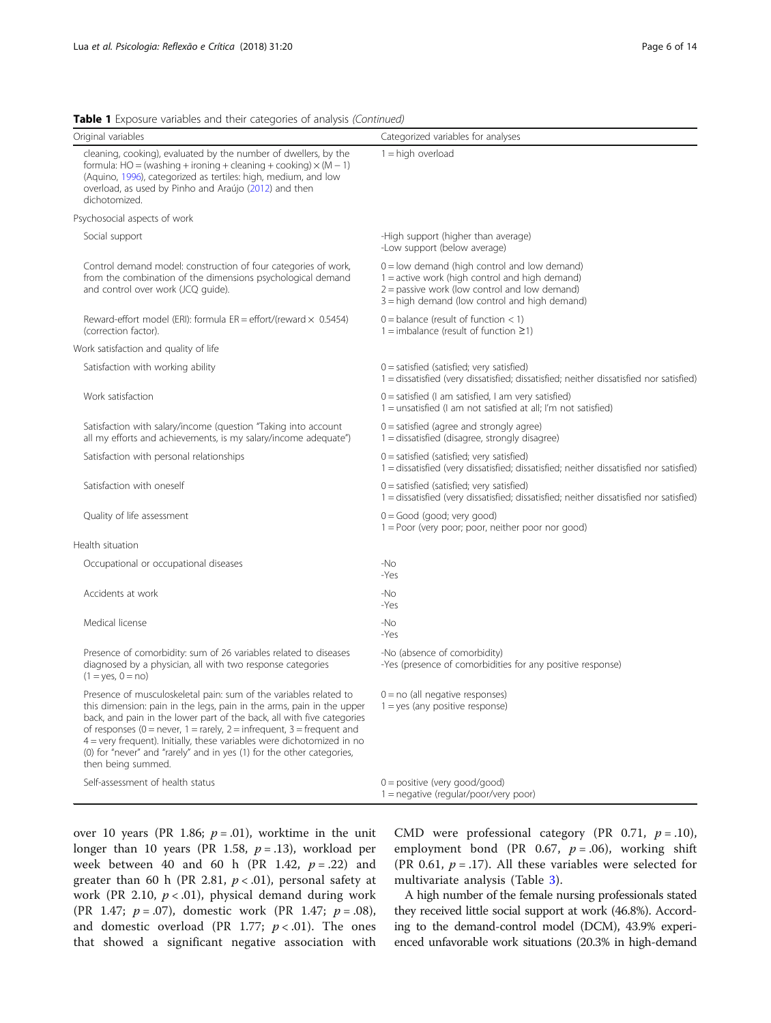Table 1 Exposure variables and their categories of analysis (Continued)

| Original variables                                                                                                                                                                                                                                                                                                                                                                                                                                                       | Categorized variables for analyses                                                                                                                                                                     |
|--------------------------------------------------------------------------------------------------------------------------------------------------------------------------------------------------------------------------------------------------------------------------------------------------------------------------------------------------------------------------------------------------------------------------------------------------------------------------|--------------------------------------------------------------------------------------------------------------------------------------------------------------------------------------------------------|
| cleaning, cooking), evaluated by the number of dwellers, by the<br>formula: $HO = (washing + ironing + cleaning + cooking) \times (M - 1)$<br>(Aquino, 1996), categorized as tertiles: high, medium, and low<br>overload, as used by Pinho and Araújo (2012) and then<br>dichotomized.                                                                                                                                                                                   | $1 =$ high overload                                                                                                                                                                                    |
| Psychosocial aspects of work                                                                                                                                                                                                                                                                                                                                                                                                                                             |                                                                                                                                                                                                        |
| Social support                                                                                                                                                                                                                                                                                                                                                                                                                                                           | -High support (higher than average)<br>-Low support (below average)                                                                                                                                    |
| Control demand model: construction of four categories of work,<br>from the combination of the dimensions psychological demand<br>and control over work (JCQ guide).                                                                                                                                                                                                                                                                                                      | $0 =$ low demand (high control and low demand)<br>$1 =$ active work (high control and high demand)<br>$2 =$ passive work (low control and low demand)<br>3 = high demand (low control and high demand) |
| Reward-effort model (ERI): formula $ER = effort/(reward \times 0.5454)$<br>(correction factor).                                                                                                                                                                                                                                                                                                                                                                          | $0 =$ balance (result of function $<$ 1)<br>$1 =$ imbalance (result of function $\geq 1$ )                                                                                                             |
| Work satisfaction and quality of life                                                                                                                                                                                                                                                                                                                                                                                                                                    |                                                                                                                                                                                                        |
| Satisfaction with working ability                                                                                                                                                                                                                                                                                                                                                                                                                                        | $0 =$ satisfied (satisfied; very satisfied)<br>1 = dissatisfied (very dissatisfied; dissatisfied; neither dissatisfied nor satisfied)                                                                  |
| Work satisfaction                                                                                                                                                                                                                                                                                                                                                                                                                                                        | $0 =$ satisfied (I am satisfied, I am very satisfied)<br>1 = unsatisfied (I am not satisfied at all; I'm not satisfied)                                                                                |
| Satisfaction with salary/income (question "Taking into account<br>all my efforts and achievements, is my salary/income adequate")                                                                                                                                                                                                                                                                                                                                        | $0 =$ satisfied (agree and strongly agree)<br>$1 =$ dissatisfied (disagree, strongly disagree)                                                                                                         |
| Satisfaction with personal relationships                                                                                                                                                                                                                                                                                                                                                                                                                                 | $0 =$ satisfied (satisfied; very satisfied)<br>1 = dissatisfied (very dissatisfied; dissatisfied; neither dissatisfied nor satisfied)                                                                  |
| Satisfaction with oneself                                                                                                                                                                                                                                                                                                                                                                                                                                                | $0 =$ satisfied (satisfied; very satisfied)<br>1 = dissatisfied (very dissatisfied; dissatisfied; neither dissatisfied nor satisfied)                                                                  |
| Quality of life assessment                                                                                                                                                                                                                                                                                                                                                                                                                                               | $0 = Good$ (good; very good)<br>1 = Poor (very poor; poor, neither poor nor good)                                                                                                                      |
| Health situation                                                                                                                                                                                                                                                                                                                                                                                                                                                         |                                                                                                                                                                                                        |
| Occupational or occupational diseases                                                                                                                                                                                                                                                                                                                                                                                                                                    | $-NO$<br>-Yes                                                                                                                                                                                          |
| Accidents at work                                                                                                                                                                                                                                                                                                                                                                                                                                                        | $-NO$<br>-Yes                                                                                                                                                                                          |
| Medical license                                                                                                                                                                                                                                                                                                                                                                                                                                                          | $-NO$<br>-Yes                                                                                                                                                                                          |
| Presence of comorbidity: sum of 26 variables related to diseases<br>diagnosed by a physician, all with two response categories<br>$(1 = yes, 0 = no)$                                                                                                                                                                                                                                                                                                                    | -No (absence of comorbidity)<br>-Yes (presence of comorbidities for any positive response)                                                                                                             |
| Presence of musculoskeletal pain: sum of the variables related to<br>this dimension: pain in the legs, pain in the arms, pain in the upper<br>back, and pain in the lower part of the back, all with five categories<br>of responses (0 = never, 1 = rarely, 2 = infrequent, 3 = frequent and<br>$4$ = very frequent). Initially, these variables were dichotomized in no<br>(0) for "never" and "rarely" and in yes (1) for the other categories,<br>then being summed. | $0 = no$ (all negative responses)<br>$1 = yes$ (any positive response)                                                                                                                                 |
| Self-assessment of health status                                                                                                                                                                                                                                                                                                                                                                                                                                         | $0 =$ positive (very good/good)<br>$1 =$ negative (regular/poor/very poor)                                                                                                                             |

over 10 years (PR 1.86;  $p = .01$ ), worktime in the unit longer than 10 years (PR 1.58,  $p = .13$ ), workload per week between 40 and 60 h (PR 1.42,  $p = .22$ ) and greater than 60 h (PR 2.81,  $p < .01$ ), personal safety at work (PR 2.10,  $p < .01$ ), physical demand during work (PR 1.47;  $p = .07$ ), domestic work (PR 1.47;  $p = .08$ ), and domestic overload (PR 1.77;  $p < .01$ ). The ones that showed a significant negative association with CMD were professional category (PR 0.71,  $p = .10$ ), employment bond (PR 0.67,  $p = .06$ ), working shift (PR 0.61,  $p = .17$ ). All these variables were selected for multivariate analysis (Table [3](#page-7-0)).

A high number of the female nursing professionals stated they received little social support at work (46.8%). According to the demand-control model (DCM), 43.9% experienced unfavorable work situations (20.3% in high-demand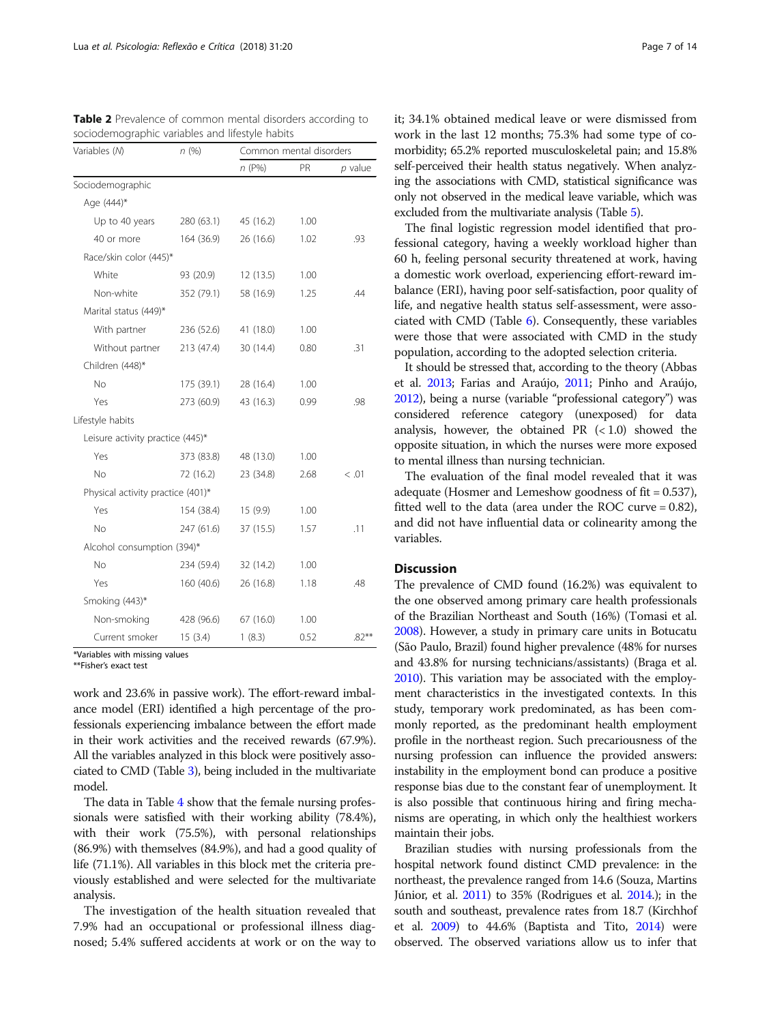| Variables (N)                     | n(%)       | Common mental disorders |      |          |  |
|-----------------------------------|------------|-------------------------|------|----------|--|
|                                   |            | $n$ (P%)                | PR   | p value  |  |
| Sociodemographic                  |            |                         |      |          |  |
| Age (444)*                        |            |                         |      |          |  |
| Up to 40 years                    | 280 (63.1) | 45 (16.2)               | 1.00 |          |  |
| 40 or more                        | 164 (36.9) | 26(16.6)                | 1.02 | .93      |  |
| Race/skin color (445)*            |            |                         |      |          |  |
| White                             | 93 (20.9)  | 12(13.5)                | 1.00 |          |  |
| Non-white                         | 352 (79.1) | 58 (16.9)               | 1.25 | .44      |  |
| Marital status (449)*             |            |                         |      |          |  |
| With partner                      | 236 (52.6) | 41 (18.0)               | 1.00 |          |  |
| Without partner                   | 213(47.4)  | 30 (14.4)               | 0.80 | .31      |  |
| Children (448)*                   |            |                         |      |          |  |
| No                                | 175 (39.1) | 28 (16.4)               | 1.00 |          |  |
| Yes                               | 273 (60.9) | 43 (16.3)               | 0.99 | .98      |  |
| Lifestyle habits                  |            |                         |      |          |  |
| Leisure activity practice (445)*  |            |                         |      |          |  |
| Yes                               | 373 (83.8) | 48 (13.0)               | 1.00 |          |  |
| <b>No</b>                         | 72 (16.2)  | 23 (34.8)               | 2.68 | < 0.01   |  |
| Physical activity practice (401)* |            |                         |      |          |  |
| Yes                               | 154 (38.4) | 15(9.9)                 | 1.00 |          |  |
| <b>No</b>                         | 247 (61.6) | 37 (15.5)               | 1.57 | .11      |  |
| Alcohol consumption (394)*        |            |                         |      |          |  |
| Nο                                | 234 (59.4) | 32 (14.2)               | 1.00 |          |  |
| Yes                               | 160(40.6)  | 26 (16.8)               | 1.18 | .48      |  |
| Smoking (443)*                    |            |                         |      |          |  |
| Non-smoking                       | 428 (96.6) | 67 (16.0)               | 1.00 |          |  |
| Current smoker                    | 15(3.4)    | 1(8.3)                  | 0.52 | $.82***$ |  |

<span id="page-6-0"></span>Table 2 Prevalence of common mental disorders according to sociodemographic variables and lifestyle habits

\*Variables with missing values

\*\*Fisher's exact test

work and 23.6% in passive work). The effort-reward imbalance model (ERI) identified a high percentage of the professionals experiencing imbalance between the effort made in their work activities and the received rewards (67.9%). All the variables analyzed in this block were positively associated to CMD (Table [3](#page-7-0)), being included in the multivariate model.

The data in Table [4](#page-8-0) show that the female nursing professionals were satisfied with their working ability (78.4%), with their work (75.5%), with personal relationships (86.9%) with themselves (84.9%), and had a good quality of life (71.1%). All variables in this block met the criteria previously established and were selected for the multivariate analysis.

The investigation of the health situation revealed that 7.9% had an occupational or professional illness diagnosed; 5.4% suffered accidents at work or on the way to it; 34.1% obtained medical leave or were dismissed from work in the last 12 months; 75.3% had some type of comorbidity; 65.2% reported musculoskeletal pain; and 15.8% self-perceived their health status negatively. When analyzing the associations with CMD, statistical significance was only not observed in the medical leave variable, which was excluded from the multivariate analysis (Table [5\)](#page-8-0).

The final logistic regression model identified that professional category, having a weekly workload higher than 60 h, feeling personal security threatened at work, having a domestic work overload, experiencing effort-reward imbalance (ERI), having poor self-satisfaction, poor quality of life, and negative health status self-assessment, were associated with CMD (Table [6](#page-9-0)). Consequently, these variables were those that were associated with CMD in the study population, according to the adopted selection criteria.

It should be stressed that, according to the theory (Abbas et al. [2013](#page-12-0); Farias and Araújo, [2011;](#page-12-0) Pinho and Araújo, [2012\)](#page-13-0), being a nurse (variable "professional category") was considered reference category (unexposed) for data analysis, however, the obtained PR  $( $1.0$ )$  showed the opposite situation, in which the nurses were more exposed to mental illness than nursing technician.

The evaluation of the final model revealed that it was adequate (Hosmer and Lemeshow goodness of fit = 0.537), fitted well to the data (area under the ROC curve = 0.82), and did not have influential data or colinearity among the variables.

#### **Discussion**

The prevalence of CMD found (16.2%) was equivalent to the one observed among primary care health professionals of the Brazilian Northeast and South (16%) (Tomasi et al. [2008\)](#page-13-0). However, a study in primary care units in Botucatu (São Paulo, Brazil) found higher prevalence (48% for nurses and 43.8% for nursing technicians/assistants) (Braga et al. [2010\)](#page-12-0). This variation may be associated with the employment characteristics in the investigated contexts. In this study, temporary work predominated, as has been commonly reported, as the predominant health employment profile in the northeast region. Such precariousness of the nursing profession can influence the provided answers: instability in the employment bond can produce a positive response bias due to the constant fear of unemployment. It is also possible that continuous hiring and firing mechanisms are operating, in which only the healthiest workers maintain their jobs.

Brazilian studies with nursing professionals from the hospital network found distinct CMD prevalence: in the northeast, the prevalence ranged from 14.6 (Souza, Martins Júnior, et al. [2011](#page-13-0)) to 35% (Rodrigues et al. [2014.](#page-13-0)); in the south and southeast, prevalence rates from 18.7 (Kirchhof et al. [2009](#page-12-0)) to 44.6% (Baptista and Tito, [2014](#page-12-0)) were observed. The observed variations allow us to infer that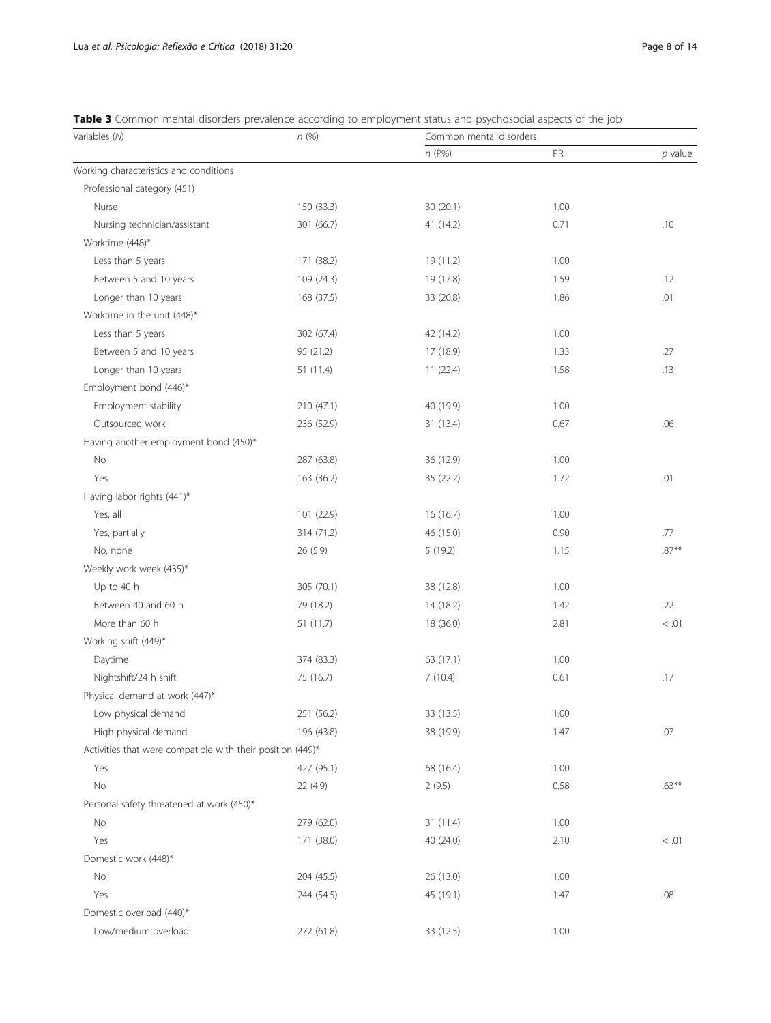<span id="page-7-0"></span>

|  | Table 3 Common mental disorders prevalence according to employment status and psychosocial aspects of the job |  |  |  |  |  |  |  |  |  |
|--|---------------------------------------------------------------------------------------------------------------|--|--|--|--|--|--|--|--|--|
|--|---------------------------------------------------------------------------------------------------------------|--|--|--|--|--|--|--|--|--|

| Variables (N)                                              | n(%)       | Common mental disorders |      |           |
|------------------------------------------------------------|------------|-------------------------|------|-----------|
|                                                            |            | $n(P\%)$                | PR   | $p$ value |
| Working characteristics and conditions                     |            |                         |      |           |
| Professional category (451)                                |            |                         |      |           |
| Nurse                                                      | 150 (33.3) | 30 (20.1)               | 1.00 |           |
| Nursing technician/assistant                               | 301 (66.7) | 41 (14.2)               | 0.71 | .10       |
| Worktime (448)*                                            |            |                         |      |           |
| Less than 5 years                                          | 171 (38.2) | 19 (11.2)               | 1.00 |           |
| Between 5 and 10 years                                     | 109(24.3)  | 19 (17.8)               | 1.59 | .12       |
| Longer than 10 years                                       | 168 (37.5) | 33 (20.8)               | 1.86 | .01       |
| Worktime in the unit (448)*                                |            |                         |      |           |
| Less than 5 years                                          | 302 (67.4) | 42 (14.2)               | 1.00 |           |
| Between 5 and 10 years                                     | 95 (21.2)  | 17 (18.9)               | 1.33 | .27       |
| Longer than 10 years                                       | 51 (11.4)  | 11(22.4)                | 1.58 | .13       |
| Employment bond (446)*                                     |            |                         |      |           |
| Employment stability                                       | 210 (47.1) | 40 (19.9)               | 1.00 |           |
| Outsourced work                                            | 236 (52.9) | 31 (13.4)               | 0.67 | .06       |
| Having another employment bond (450)*                      |            |                         |      |           |
| No                                                         | 287 (63.8) | 36 (12.9)               | 1.00 |           |
| Yes                                                        | 163 (36.2) | 35 (22.2)               | 1.72 | .01       |
| Having labor rights (441)*                                 |            |                         |      |           |
| Yes, all                                                   | 101 (22.9) | 16(16.7)                | 1.00 |           |
| Yes, partially                                             | 314 (71.2) | 46 (15.0)               | 0.90 | .77       |
| No, none                                                   | 26 (5.9)   | 5(19.2)                 | 1.15 | $.87***$  |
| Weekly work week (435)*                                    |            |                         |      |           |
| Up to 40 h                                                 | 305 (70.1) | 38 (12.8)               | 1.00 |           |
| Between 40 and 60 h                                        | 79 (18.2)  | 14 (18.2)               | 1.42 | .22       |
| More than 60 h                                             | 51 (11.7)  | 18 (36.0)               | 2.81 | $<.01$    |
| Working shift (449)*                                       |            |                         |      |           |
| Daytime                                                    | 374 (83.3) | 63 (17.1)               | 1.00 |           |
| Nightshift/24 h shift                                      | 75 (16.7)  | 7(10.4)                 | 0.61 | .17       |
| Physical demand at work (447)*                             |            |                         |      |           |
| Low physical demand                                        | 251 (56.2) | 33 (13.5)               | 1.00 |           |
| High physical demand                                       | 196 (43.8) | 38 (19.9)               | 1.47 | .07       |
| Activities that were compatible with their position (449)* |            |                         |      |           |
| Yes                                                        | 427 (95.1) | 68 (16.4)               | 1.00 |           |
| No                                                         | 22 (4.9)   | 2(9.5)                  | 0.58 | $.63***$  |
| Personal safety threatened at work (450)*                  |            |                         |      |           |
| No                                                         | 279 (62.0) | 31 (11.4)               | 1.00 |           |
| Yes                                                        | 171 (38.0) | 40 (24.0)               | 2.10 | $< .01$   |
| Domestic work (448)*                                       |            |                         |      |           |
| No                                                         | 204 (45.5) | 26 (13.0)               | 1.00 |           |
| Yes                                                        | 244 (54.5) | 45 (19.1)               | 1.47 | .08       |
| Domestic overload (440)*                                   |            |                         |      |           |
| Low/medium overload                                        | 272 (61.8) | 33 (12.5)               | 1.00 |           |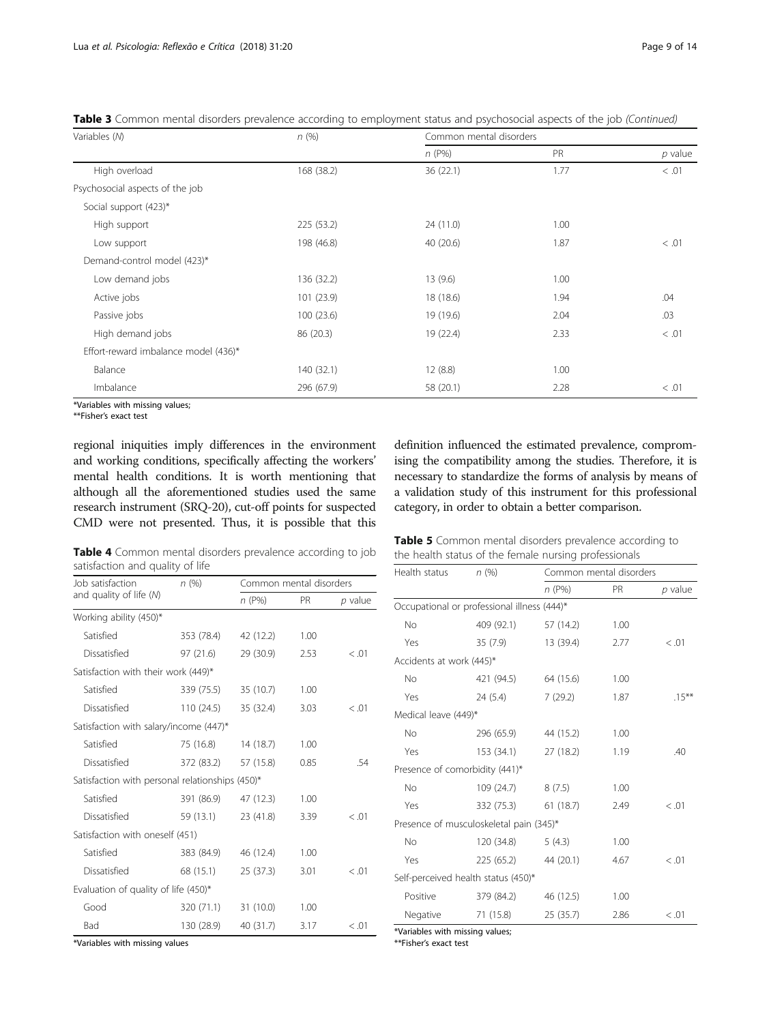| Variables (M)                        | n(%)       | Common mental disorders |      |           |  |
|--------------------------------------|------------|-------------------------|------|-----------|--|
|                                      |            | $n(P\%)$                | PR   | $p$ value |  |
| High overload                        | 168 (38.2) | 36(22.1)                | 1.77 | < 0.01    |  |
| Psychosocial aspects of the job      |            |                         |      |           |  |
| Social support (423)*                |            |                         |      |           |  |
| High support                         | 225 (53.2) | 24 (11.0)               | 1.00 |           |  |
| Low support                          | 198 (46.8) | 40(20.6)                | 1.87 | < .01     |  |
| Demand-control model (423)*          |            |                         |      |           |  |
| Low demand jobs                      | 136 (32.2) | 13(9.6)                 | 1.00 |           |  |
| Active jobs                          | 101(23.9)  | 18 (18.6)               | 1.94 | .04       |  |
| Passive jobs                         | 100 (23.6) | 19 (19.6)               | 2.04 | .03       |  |
| High demand jobs                     | 86 (20.3)  | 19 (22.4)               | 2.33 | < 0.01    |  |
| Effort-reward imbalance model (436)* |            |                         |      |           |  |
| Balance                              | 140 (32.1) | 12(8.8)                 | 1.00 |           |  |
| Imbalance                            | 296 (67.9) | 58 (20.1)               | 2.28 | < .01     |  |

<span id="page-8-0"></span>Table 3 Common mental disorders prevalence according to employment status and psychosocial aspects of the job (Continued)

\*Variables with missing values;

\*\*Fisher's exact test

regional iniquities imply differences in the environment and working conditions, specifically affecting the workers' mental health conditions. It is worth mentioning that although all the aforementioned studies used the same research instrument (SRQ-20), cut-off points for suspected CMD were not presented. Thus, it is possible that this

definition influenced the estimated prevalence, compromising the compatibility among the studies. Therefore, it is necessary to standardize the forms of analysis by means of a validation study of this instrument for this professional category, in order to obtain a better comparison.

Table 4 Common mental disorders prevalence according to job satisfaction and quality of life

| Job satisfaction                                | n(%)       | Common mental disorders |      |           |  |
|-------------------------------------------------|------------|-------------------------|------|-----------|--|
| and quality of life (N)                         |            | n (P%)                  | PR.  | $p$ value |  |
| Working ability (450)*                          |            |                         |      |           |  |
| Satisfied                                       | 353 (78.4) | 42 (12.2)               | 1.00 |           |  |
| Dissatisfied                                    | 97 (21.6)  | 29 (30.9)               | 2.53 | < 0.01    |  |
| Satisfaction with their work (449)*             |            |                         |      |           |  |
| Satisfied                                       | 339 (75.5) | 35 (10.7)               | 1.00 |           |  |
| Dissatisfied                                    | 110(24.5)  | 35 (32.4)               | 3.03 | < .01     |  |
| Satisfaction with salary/income (447)*          |            |                         |      |           |  |
| Satisfied                                       | 75 (16.8)  | 14(18.7)                | 1.00 |           |  |
| Dissatisfied                                    | 372 (83.2) | 57 (15.8)               | 0.85 | .54       |  |
| Satisfaction with personal relationships (450)* |            |                         |      |           |  |
| Satisfied                                       | 391 (86.9) | 47 (12.3)               | 1.00 |           |  |
| Dissatisfied                                    | 59 (13.1)  | 23(41.8)                | 3.39 | < 0.01    |  |
| Satisfaction with oneself (451)                 |            |                         |      |           |  |
| Satisfied                                       | 383 (84.9) | 46 (12.4)               | 1.00 |           |  |
| Dissatisfied                                    | 68 (15.1)  | 25(37.3)                | 3.01 | < 0.01    |  |
| Evaluation of quality of life (450)*            |            |                         |      |           |  |
| Good                                            | 320 (71.1) | 31 (10.0)               | 1.00 |           |  |
| Bad                                             | 130 (28.9) | 40 (31.7)               | 3.17 | < 0.01    |  |

Table 5 Common mental disorders prevalence according to the health status of the female nursing professionals

| Health status                               | n(%)       |           | Common mental disorders |           |  |  |
|---------------------------------------------|------------|-----------|-------------------------|-----------|--|--|
|                                             |            | $n$ (P%)  | PR.                     | $p$ value |  |  |
| Occupational or professional illness (444)* |            |           |                         |           |  |  |
| No                                          | 409 (92.1) | 57 (14.2) | 1.00                    |           |  |  |
| Yes                                         | 35(7.9)    | 13 (39.4) | 2.77                    | < 0.01    |  |  |
| Accidents at work (445)*                    |            |           |                         |           |  |  |
| <b>No</b>                                   | 421 (94.5) | 64 (15.6) | 1.00                    |           |  |  |
| Yes                                         | 24(5.4)    | 7(29.2)   | 1.87                    | $.15***$  |  |  |
| Medical leave (449)*                        |            |           |                         |           |  |  |
| <b>No</b>                                   | 296 (65.9) | 44 (15.2) | 1.00                    |           |  |  |
| Yes                                         | 153(34.1)  | 27(18.2)  | 1.19                    | .40       |  |  |
| Presence of comorbidity (441)*              |            |           |                         |           |  |  |
| <b>No</b>                                   | 109 (24.7) | 8(7.5)    | 1.00                    |           |  |  |
| Yes                                         | 332 (75.3) | 61(18.7)  | 2.49                    | < 0.01    |  |  |
| Presence of musculoskeletal pain (345)*     |            |           |                         |           |  |  |
| <b>No</b>                                   | 120 (34.8) | 5(4.3)    | 1.00                    |           |  |  |
| Yes                                         | 225(65.2)  | 44 (20.1) | 4.67                    | < 0.01    |  |  |
| Self-perceived health status (450)*         |            |           |                         |           |  |  |
| Positive                                    | 379 (84.2) | 46 (12.5) | 1.00                    |           |  |  |
| Negative                                    | 71 (15.8)  | 25(35.7)  | 2.86                    | < 0.01    |  |  |
| *Variables with missing values;             |            |           |                         |           |  |  |

\*Variables with missing values

\*\*Fisher's exact test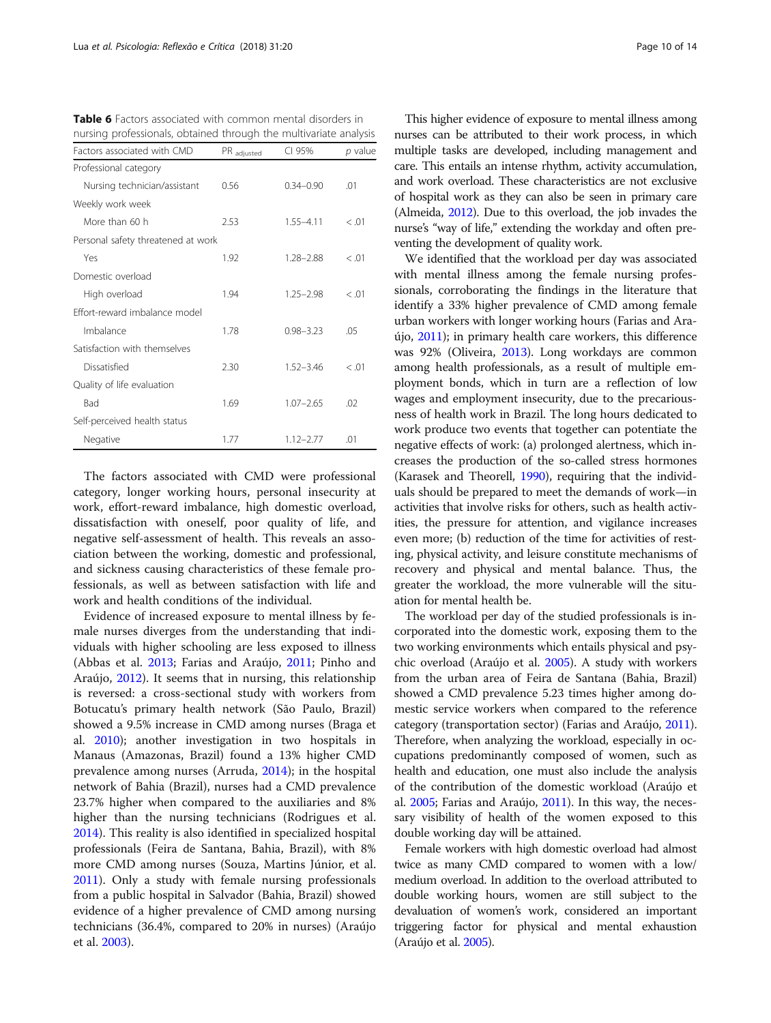| nursing professionals, obtained through the multivariate analysis |                              |               |         |  |  |  |
|-------------------------------------------------------------------|------------------------------|---------------|---------|--|--|--|
| Factors associated with CMD                                       | ${\sf PR}$ $_{\rm adjusted}$ | CI 95%        | p value |  |  |  |
| Professional category                                             |                              |               |         |  |  |  |
| Nursing technician/assistant                                      | 0.56                         | $0.34 - 0.90$ | .01     |  |  |  |
| Weekly work week                                                  |                              |               |         |  |  |  |
| More than 60 h                                                    | 2.53                         | $1.55 - 4.11$ | < .01   |  |  |  |
| Personal safety threatened at work                                |                              |               |         |  |  |  |
| Yes                                                               | 1.92                         | 1.28-2.88     | < .01   |  |  |  |
| Domestic overload                                                 |                              |               |         |  |  |  |
| High overload                                                     | 1.94                         | $1.25 - 2.98$ | < .01   |  |  |  |
| Effort-reward imbalance model                                     |                              |               |         |  |  |  |
| Imbalance                                                         | 1.78                         | $0.98 - 3.23$ | .05     |  |  |  |
| Satisfaction with themselves                                      |                              |               |         |  |  |  |
| Dissatisfied                                                      | 2.30                         | $1.52 - 3.46$ | < .01   |  |  |  |
| Quality of life evaluation                                        |                              |               |         |  |  |  |
| Bad                                                               | 1.69                         | $1.07 - 2.65$ | .02     |  |  |  |
| Self-perceived health status                                      |                              |               |         |  |  |  |
| Negative                                                          | 1.77                         | $1.12 - 2.77$ | .01     |  |  |  |

<span id="page-9-0"></span>Table 6 Factors associated with common mental disorders in

The factors associated with CMD were professional category, longer working hours, personal insecurity at work, effort-reward imbalance, high domestic overload, dissatisfaction with oneself, poor quality of life, and negative self-assessment of health. This reveals an association between the working, domestic and professional, and sickness causing characteristics of these female professionals, as well as between satisfaction with life and work and health conditions of the individual.

Evidence of increased exposure to mental illness by female nurses diverges from the understanding that individuals with higher schooling are less exposed to illness (Abbas et al. [2013](#page-12-0); Farias and Araújo, [2011](#page-12-0); Pinho and Araújo, [2012\)](#page-13-0). It seems that in nursing, this relationship is reversed: a cross-sectional study with workers from Botucatu's primary health network (São Paulo, Brazil) showed a 9.5% increase in CMD among nurses (Braga et al. [2010\)](#page-12-0); another investigation in two hospitals in Manaus (Amazonas, Brazil) found a 13% higher CMD prevalence among nurses (Arruda, [2014](#page-12-0)); in the hospital network of Bahia (Brazil), nurses had a CMD prevalence 23.7% higher when compared to the auxiliaries and 8% higher than the nursing technicians (Rodrigues et al. [2014](#page-13-0)). This reality is also identified in specialized hospital professionals (Feira de Santana, Bahia, Brazil), with 8% more CMD among nurses (Souza, Martins Júnior, et al. [2011](#page-13-0)). Only a study with female nursing professionals from a public hospital in Salvador (Bahia, Brazil) showed evidence of a higher prevalence of CMD among nursing technicians (36.4%, compared to 20% in nurses) (Araújo et al. [2003](#page-12-0)).

This higher evidence of exposure to mental illness among nurses can be attributed to their work process, in which multiple tasks are developed, including management and care. This entails an intense rhythm, activity accumulation, and work overload. These characteristics are not exclusive of hospital work as they can also be seen in primary care (Almeida, [2012](#page-12-0)). Due to this overload, the job invades the nurse's "way of life," extending the workday and often preventing the development of quality work.

We identified that the workload per day was associated with mental illness among the female nursing professionals, corroborating the findings in the literature that identify a 33% higher prevalence of CMD among female urban workers with longer working hours (Farias and Araújo, [2011\)](#page-12-0); in primary health care workers, this difference was 92% (Oliveira, [2013](#page-13-0)). Long workdays are common among health professionals, as a result of multiple employment bonds, which in turn are a reflection of low wages and employment insecurity, due to the precariousness of health work in Brazil. The long hours dedicated to work produce two events that together can potentiate the negative effects of work: (a) prolonged alertness, which increases the production of the so-called stress hormones (Karasek and Theorell, [1990](#page-12-0)), requiring that the individuals should be prepared to meet the demands of work—in activities that involve risks for others, such as health activities, the pressure for attention, and vigilance increases even more; (b) reduction of the time for activities of resting, physical activity, and leisure constitute mechanisms of recovery and physical and mental balance. Thus, the greater the workload, the more vulnerable will the situation for mental health be.

The workload per day of the studied professionals is incorporated into the domestic work, exposing them to the two working environments which entails physical and psychic overload (Araújo et al. [2005](#page-12-0)). A study with workers from the urban area of Feira de Santana (Bahia, Brazil) showed a CMD prevalence 5.23 times higher among domestic service workers when compared to the reference category (transportation sector) (Farias and Araújo, [2011](#page-12-0)). Therefore, when analyzing the workload, especially in occupations predominantly composed of women, such as health and education, one must also include the analysis of the contribution of the domestic workload (Araújo et al. [2005](#page-12-0); Farias and Araújo, [2011](#page-12-0)). In this way, the necessary visibility of health of the women exposed to this double working day will be attained.

Female workers with high domestic overload had almost twice as many CMD compared to women with a low/ medium overload. In addition to the overload attributed to double working hours, women are still subject to the devaluation of women's work, considered an important triggering factor for physical and mental exhaustion (Araújo et al. [2005](#page-12-0)).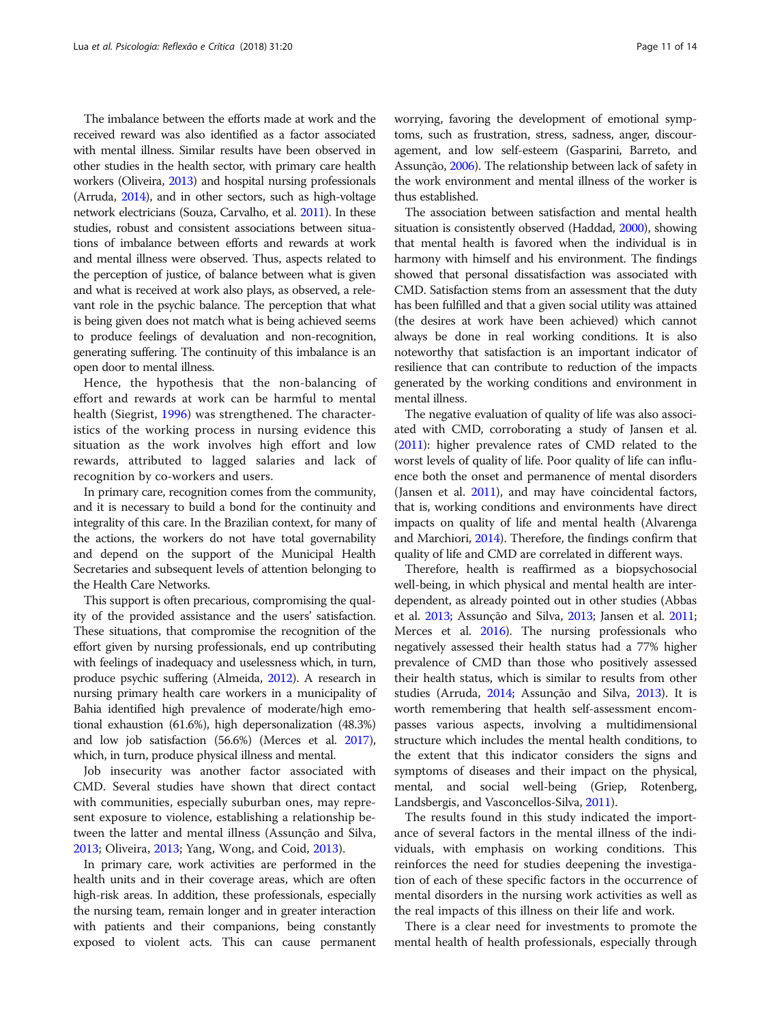The imbalance between the efforts made at work and the received reward was also identified as a factor associated with mental illness. Similar results have been observed in other studies in the health sector, with primary care health workers (Oliveira, [2013](#page-13-0)) and hospital nursing professionals (Arruda, [2014\)](#page-12-0), and in other sectors, such as high-voltage network electricians (Souza, Carvalho, et al. [2011\)](#page-13-0). In these studies, robust and consistent associations between situations of imbalance between efforts and rewards at work and mental illness were observed. Thus, aspects related to the perception of justice, of balance between what is given and what is received at work also plays, as observed, a relevant role in the psychic balance. The perception that what is being given does not match what is being achieved seems to produce feelings of devaluation and non-recognition, generating suffering. The continuity of this imbalance is an open door to mental illness.

Hence, the hypothesis that the non-balancing of effort and rewards at work can be harmful to mental health (Siegrist, [1996\)](#page-13-0) was strengthened. The characteristics of the working process in nursing evidence this situation as the work involves high effort and low rewards, attributed to lagged salaries and lack of recognition by co-workers and users.

In primary care, recognition comes from the community, and it is necessary to build a bond for the continuity and integrality of this care. In the Brazilian context, for many of the actions, the workers do not have total governability and depend on the support of the Municipal Health Secretaries and subsequent levels of attention belonging to the Health Care Networks.

This support is often precarious, compromising the quality of the provided assistance and the users' satisfaction. These situations, that compromise the recognition of the effort given by nursing professionals, end up contributing with feelings of inadequacy and uselessness which, in turn, produce psychic suffering (Almeida, [2012\)](#page-12-0). A research in nursing primary health care workers in a municipality of Bahia identified high prevalence of moderate/high emotional exhaustion (61.6%), high depersonalization (48.3%) and low job satisfaction (56.6%) (Merces et al. [2017](#page-13-0)), which, in turn, produce physical illness and mental.

Job insecurity was another factor associated with CMD. Several studies have shown that direct contact with communities, especially suburban ones, may represent exposure to violence, establishing a relationship between the latter and mental illness (Assunção and Silva, [2013](#page-12-0); Oliveira, [2013;](#page-13-0) Yang, Wong, and Coid, [2013\)](#page-13-0).

In primary care, work activities are performed in the health units and in their coverage areas, which are often high-risk areas. In addition, these professionals, especially the nursing team, remain longer and in greater interaction with patients and their companions, being constantly exposed to violent acts. This can cause permanent

worrying, favoring the development of emotional symptoms, such as frustration, stress, sadness, anger, discouragement, and low self-esteem (Gasparini, Barreto, and Assunção, [2006\)](#page-12-0). The relationship between lack of safety in the work environment and mental illness of the worker is thus established.

The association between satisfaction and mental health situation is consistently observed (Haddad, [2000\)](#page-12-0), showing that mental health is favored when the individual is in harmony with himself and his environment. The findings showed that personal dissatisfaction was associated with CMD. Satisfaction stems from an assessment that the duty has been fulfilled and that a given social utility was attained (the desires at work have been achieved) which cannot always be done in real working conditions. It is also noteworthy that satisfaction is an important indicator of resilience that can contribute to reduction of the impacts generated by the working conditions and environment in mental illness.

The negative evaluation of quality of life was also associated with CMD, corroborating a study of Jansen et al. ([2011](#page-12-0)): higher prevalence rates of CMD related to the worst levels of quality of life. Poor quality of life can influence both the onset and permanence of mental disorders (Jansen et al. [2011](#page-12-0)), and may have coincidental factors, that is, working conditions and environments have direct impacts on quality of life and mental health (Alvarenga and Marchiori, [2014](#page-12-0)). Therefore, the findings confirm that quality of life and CMD are correlated in different ways.

Therefore, health is reaffirmed as a biopsychosocial well-being, in which physical and mental health are interdependent, as already pointed out in other studies (Abbas et al. [2013;](#page-12-0) Assunção and Silva, [2013](#page-12-0); Jansen et al. [2011](#page-12-0); Merces et al. [2016\)](#page-13-0). The nursing professionals who negatively assessed their health status had a 77% higher prevalence of CMD than those who positively assessed their health status, which is similar to results from other studies (Arruda, [2014;](#page-12-0) Assunção and Silva, [2013\)](#page-12-0). It is worth remembering that health self-assessment encompasses various aspects, involving a multidimensional structure which includes the mental health conditions, to the extent that this indicator considers the signs and symptoms of diseases and their impact on the physical, mental, and social well-being (Griep, Rotenberg, Landsbergis, and Vasconcellos-Silva, [2011\)](#page-12-0).

The results found in this study indicated the importance of several factors in the mental illness of the individuals, with emphasis on working conditions. This reinforces the need for studies deepening the investigation of each of these specific factors in the occurrence of mental disorders in the nursing work activities as well as the real impacts of this illness on their life and work.

There is a clear need for investments to promote the mental health of health professionals, especially through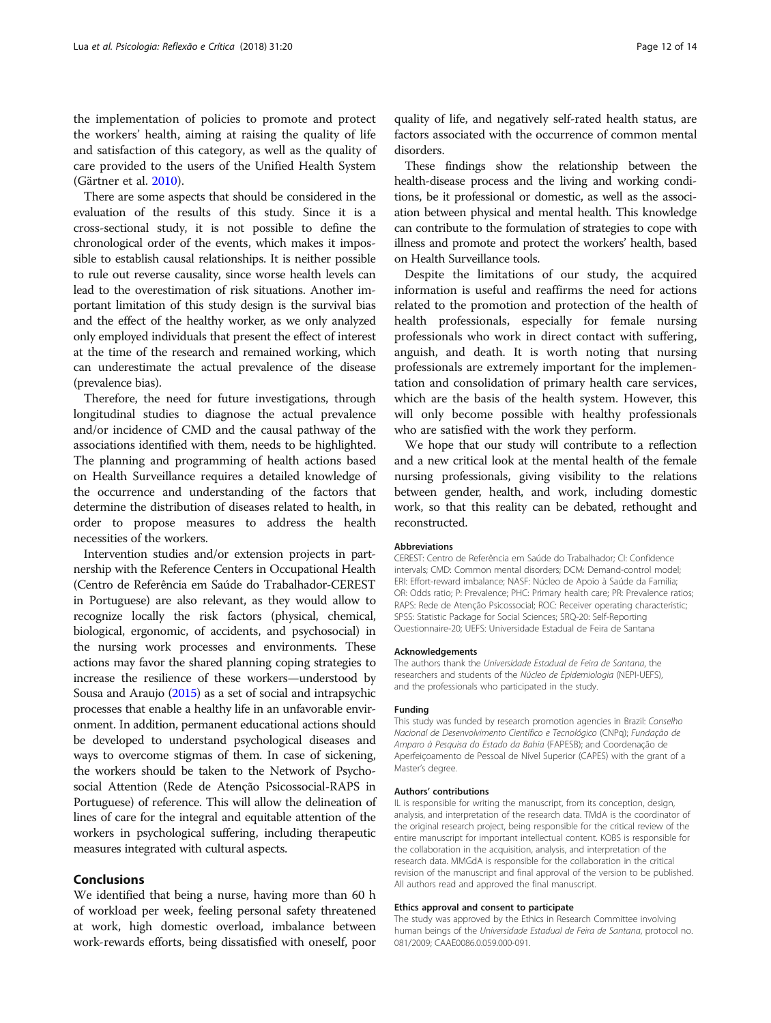the implementation of policies to promote and protect the workers' health, aiming at raising the quality of life and satisfaction of this category, as well as the quality of care provided to the users of the Unified Health System (Gärtner et al. [2010\)](#page-12-0).

There are some aspects that should be considered in the evaluation of the results of this study. Since it is a cross-sectional study, it is not possible to define the chronological order of the events, which makes it impossible to establish causal relationships. It is neither possible to rule out reverse causality, since worse health levels can lead to the overestimation of risk situations. Another important limitation of this study design is the survival bias and the effect of the healthy worker, as we only analyzed only employed individuals that present the effect of interest at the time of the research and remained working, which can underestimate the actual prevalence of the disease (prevalence bias).

Therefore, the need for future investigations, through longitudinal studies to diagnose the actual prevalence and/or incidence of CMD and the causal pathway of the associations identified with them, needs to be highlighted. The planning and programming of health actions based on Health Surveillance requires a detailed knowledge of the occurrence and understanding of the factors that determine the distribution of diseases related to health, in order to propose measures to address the health necessities of the workers.

Intervention studies and/or extension projects in partnership with the Reference Centers in Occupational Health (Centro de Referência em Saúde do Trabalhador-CEREST in Portuguese) are also relevant, as they would allow to recognize locally the risk factors (physical, chemical, biological, ergonomic, of accidents, and psychosocial) in the nursing work processes and environments. These actions may favor the shared planning coping strategies to increase the resilience of these workers—understood by Sousa and Araujo [\(2015](#page-13-0)) as a set of social and intrapsychic processes that enable a healthy life in an unfavorable environment. In addition, permanent educational actions should be developed to understand psychological diseases and ways to overcome stigmas of them. In case of sickening, the workers should be taken to the Network of Psychosocial Attention (Rede de Atenção Psicossocial-RAPS in Portuguese) of reference. This will allow the delineation of lines of care for the integral and equitable attention of the workers in psychological suffering, including therapeutic measures integrated with cultural aspects.

#### Conclusions

We identified that being a nurse, having more than 60 h of workload per week, feeling personal safety threatened at work, high domestic overload, imbalance between work-rewards efforts, being dissatisfied with oneself, poor quality of life, and negatively self-rated health status, are factors associated with the occurrence of common mental disorders.

These findings show the relationship between the health-disease process and the living and working conditions, be it professional or domestic, as well as the association between physical and mental health. This knowledge can contribute to the formulation of strategies to cope with illness and promote and protect the workers' health, based on Health Surveillance tools.

Despite the limitations of our study, the acquired information is useful and reaffirms the need for actions related to the promotion and protection of the health of health professionals, especially for female nursing professionals who work in direct contact with suffering, anguish, and death. It is worth noting that nursing professionals are extremely important for the implementation and consolidation of primary health care services, which are the basis of the health system. However, this will only become possible with healthy professionals who are satisfied with the work they perform.

We hope that our study will contribute to a reflection and a new critical look at the mental health of the female nursing professionals, giving visibility to the relations between gender, health, and work, including domestic work, so that this reality can be debated, rethought and reconstructed.

#### Abbreviations

CEREST: Centro de Referência em Saúde do Trabalhador; CI: Confidence intervals; CMD: Common mental disorders; DCM: Demand-control model; ERI: Effort-reward imbalance; NASF: Núcleo de Apoio à Saúde da Família; OR: Odds ratio; P: Prevalence; PHC: Primary health care; PR: Prevalence ratios; RAPS: Rede de Atenção Psicossocial; ROC: Receiver operating characteristic; SPSS: Statistic Package for Social Sciences; SRQ-20: Self-Reporting Questionnaire-20; UEFS: Universidade Estadual de Feira de Santana

#### Acknowledgements

The authors thank the Universidade Estadual de Feira de Santana, the researchers and students of the Núcleo de Epidemiologia (NEPI-UEFS), and the professionals who participated in the study.

#### Funding

This study was funded by research promotion agencies in Brazil: Conselho Nacional de Desenvolvimento Científico e Tecnológico (CNPq); Fundação de Amparo à Pesquisa do Estado da Bahia (FAPESB); and Coordenação de Aperfeiçoamento de Pessoal de Nível Superior (CAPES) with the grant of a Master's degree.

#### Authors' contributions

IL is responsible for writing the manuscript, from its conception, design, analysis, and interpretation of the research data. TMdA is the coordinator of the original research project, being responsible for the critical review of the entire manuscript for important intellectual content. KOBS is responsible for the collaboration in the acquisition, analysis, and interpretation of the research data. MMGdA is responsible for the collaboration in the critical revision of the manuscript and final approval of the version to be published. All authors read and approved the final manuscript.

#### Ethics approval and consent to participate

The study was approved by the Ethics in Research Committee involving human beings of the Universidade Estadual de Feira de Santana, protocol no. 081/2009; CAAE0086.0.059.000-091.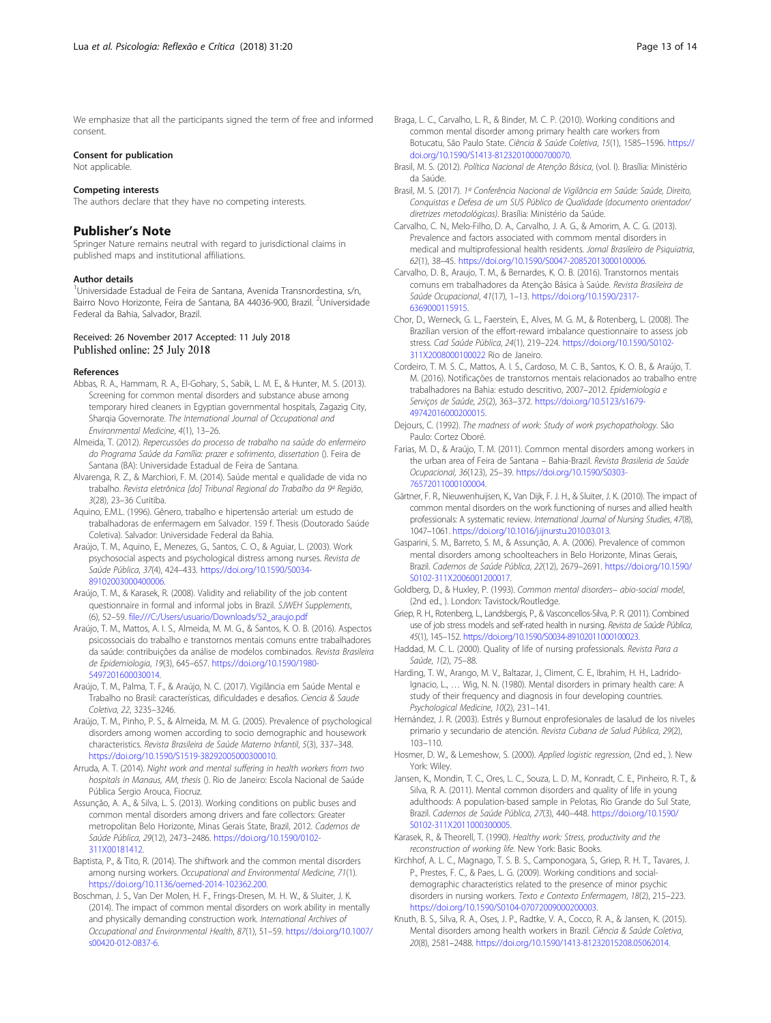<span id="page-12-0"></span>We emphasize that all the participants signed the term of free and informed consent.

#### Consent for publication

Not applicable.

#### Competing interests

The authors declare that they have no competing interests.

#### Publisher's Note

Springer Nature remains neutral with regard to jurisdictional claims in published maps and institutional affiliations.

#### Author details

<sup>1</sup>Universidade Estadual de Feira de Santana, Avenida Transnordestina, s/n, Bairro Novo Horizonte, Feira de Santana, BA 44036-900, Brazil. <sup>2</sup>Universidade Federal da Bahia, Salvador, Brazil.

# Received: 26 November 2017 Accepted: 11 July 2018<br>Published online: 25 July 2018

#### References

- Abbas, R. A., Hammam, R. A., El-Gohary, S., Sabik, L. M. E., & Hunter, M. S. (2013). Screening for common mental disorders and substance abuse among temporary hired cleaners in Egyptian governmental hospitals, Zagazig City, Sharqia Governorate. The International Journal of Occupational and Environmental Medicine, 4(1), 13–26.
- Almeida, T. (2012). Repercussões do processo de trabalho na saúde do enfermeiro do Programa Saúde da Família: prazer e sofrimento, dissertation (). Feira de Santana (BA): Universidade Estadual de Feira de Santana.
- Alvarenga, R. Z., & Marchiori, F. M. (2014). Saúde mental e qualidade de vida no trabalho. Revista eletrônica [do] Tribunal Regional do Trabalho da 9ª Região, 3(28), 23–36 Curitiba.
- Aquino, E.M.L. (1996). Gênero, trabalho e hipertensão arterial: um estudo de trabalhadoras de enfermagem em Salvador. 159 f. Thesis (Doutorado Saúde Coletiva). Salvador: Universidade Federal da Bahia.
- Araújo, T. M., Aquino, E., Menezes, G., Santos, C. O., & Aguiar, L. (2003). Work psychosocial aspects and psychological distress among nurses. Revista de Saúde Pública, 37(4), 424–433. [https://doi.org/10.1590/S0034-](https://doi.org/10.1590/S0034-89102003000400006.) [89102003000400006.](https://doi.org/10.1590/S0034-89102003000400006.)
- Araújo, T. M., & Karasek, R. (2008). Validity and reliability of the job content questionnaire in formal and informal jobs in Brazil. SJWEH Supplements, (6), 52–59. [file:///C:/Users/usuario/Downloads/52\\_araujo.pdf](https://www.file:///C:/Users/usuario/Downloads/52_araujo.pdf)
- Araújo, T. M., Mattos, A. I. S., Almeida, M. M. G., & Santos, K. O. B. (2016). Aspectos psicossociais do trabalho e transtornos mentais comuns entre trabalhadores da saúde: contribuições da análise de modelos combinados. Revista Brasileira de Epidemiologia, 19(3), 645–657. [https://doi.org/10.1590/1980-](https://doi.org/10.1590/1980-5497201600030014) [5497201600030014](https://doi.org/10.1590/1980-5497201600030014).
- Araújo, T. M., Palma, T. F., & Araújo, N. C. (2017). Vigilância em Saúde Mental e Trabalho no Brasil: características, dificuldades e desafios. Ciencia & Saude Coletiva, 22, 3235–3246.
- Araújo, T. M., Pinho, P. S., & Almeida, M. M. G. (2005). Prevalence of psychological disorders among women according to socio demographic and housework characteristics. Revista Brasileira de Saúde Materno Infantil, 5(3), 337–348. [https://doi.org/10.1590/S1519-38292005000300010.](https://doi.org/10.1590/S1519-38292005000300010)
- Arruda, A. T. (2014). Night work and mental suffering in health workers from two hospitals in Manaus, AM, thesis (). Rio de Janeiro: Escola Nacional de Saúde Pública Sergio Arouca, Fiocruz.
- Assunção, A. A., & Silva, L. S. (2013). Working conditions on public buses and common mental disorders among drivers and fare collectors: Greater metropolitan Belo Horizonte, Minas Gerais State, Brazil, 2012. Cadernos de Saúde Pública, 29(12), 2473–2486. [https://doi.org/10.1590/0102-](https://doi.org/10.1590/0102-311X00181412) [311X00181412](https://doi.org/10.1590/0102-311X00181412).
- Baptista, P., & Tito, R. (2014). The shiftwork and the common mental disorders among nursing workers. Occupational and Environmental Medicine, 71(1). <https://doi.org/10.1136/oemed-2014-102362.200.>
- Boschman, J. S., Van Der Molen, H. F., Frings-Dresen, M. H. W., & Sluiter, J. K. (2014). The impact of common mental disorders on work ability in mentally and physically demanding construction work. International Archives of Occupational and Environmental Health, 87(1), 51–59. [https://doi.org/10.1007/](https://doi.org/10.1007/s00420-012-0837-6) [s00420-012-0837-6.](https://doi.org/10.1007/s00420-012-0837-6)
- Braga, L. C., Carvalho, L. R., & Binder, M. C. P. (2010). Working conditions and common mental disorder among primary health care workers from Botucatu, São Paulo State. Ciência & Saúde Coletiva, 15(1), 1585-1596. [https://](https://doi.org/10.1590/S1413-81232010000700070.) [doi.org/10.1590/S1413-81232010000700070.](https://doi.org/10.1590/S1413-81232010000700070.)
- Brasil, M. S. (2012). Política Nacional de Atenção Básica, (vol. I). Brasília: Ministério da Saúde.
- Brasil, M. S. (2017). 1ª Conferência Nacional de Vigilância em Saúde: Saúde, Direito, Conauistas e Defesa de um SUS Público de Qualidade (documento orientador/ diretrizes metodológicas). Brasília: Ministério da Saúde.

Carvalho, C. N., Melo-Filho, D. A., Carvalho, J. A. G., & Amorim, A. C. G. (2013). Prevalence and factors associated with commom mental disorders in medical and multiprofessional health residents. Jornal Brasileiro de Psiquiatria, 62(1), 38–45. <https://doi.org/10.1590/S0047-20852013000100006.>

Carvalho, D. B., Araujo, T. M., & Bernardes, K. O. B. (2016). Transtornos mentais comuns em trabalhadores da Atenção Básica à Saúde. Revista Brasileira de Saúde Ocupacional, 41(17), 1–13. [https://doi.org/10.1590/2317-](https://doi.org/10.1590/2317-6369000115915) [6369000115915](https://doi.org/10.1590/2317-6369000115915).

Chor, D., Werneck, G. L., Faerstein, E., Alves, M. G. M., & Rotenberg, L. (2008). The Brazilian version of the effort-reward imbalance questionnaire to assess job stress. Cad Saúde Pública, 24(1), 219–224. [https://doi.org/10.1590/S0102-](https://doi.org/10.1590/S0102-311X2008000100022) [311X2008000100022](https://doi.org/10.1590/S0102-311X2008000100022) Rio de Janeiro.

- Cordeiro, T. M. S. C., Mattos, A. I. S., Cardoso, M. C. B., Santos, K. O. B., & Araújo, T. M. (2016). Notificações de transtornos mentais relacionados ao trabalho entre trabalhadores na Bahia: estudo descritivo, 2007–2012. Epidemiologia e Serviços de Saúde, 25(2), 363–372. [https://doi.org/10.5123/s1679-](https://doi.org/10.5123/s1679-49742016000200015) [49742016000200015.](https://doi.org/10.5123/s1679-49742016000200015)
- Dejours, C. (1992). The madness of work: Study of work psychopathology. São Paulo: Cortez Oboré.
- Farias, M. D., & Araújo, T. M. (2011). Common mental disorders among workers in the urban area of Feira de Santana – Bahia-Brazil. Revista Brasileria de Saúde Ocupacional, 36(123), 25–39. [https://doi.org/10.1590/S0303-](https://doi.org/10.1590/S0303-76572011000100004) [76572011000100004.](https://doi.org/10.1590/S0303-76572011000100004)

Gärtner, F. R., Nieuwenhuijsen, K., Van Dijk, F. J. H., & Sluiter, J. K. (2010). The impact of common mental disorders on the work functioning of nurses and allied health professionals: A systematic review. International Journal of Nursing Studies, 47(8), 1047–1061. [https://doi.org/10.1016/j.ijnurstu.2010.03.013.](https://doi.org/10.1016/j.ijnurstu.2010.03.013)

Gasparini, S. M., Barreto, S. M., & Assunção, A. A. (2006). Prevalence of common mental disorders among schoolteachers in Belo Horizonte, Minas Gerais, Brazil. Cadernos de Saúde Pública, 22(12), 2679–2691. [https://doi.org/10.1590/](https://doi.org/10.1590/S0102-311X2006001200017) [S0102-311X2006001200017](https://doi.org/10.1590/S0102-311X2006001200017).

Goldberg, D., & Huxley, P. (1993). Common mental disorders– abio-social model, (2nd ed., ). London: Tavistock/Routledge.

- Griep, R. H., Rotenberg, L., Landsbergis, P., & Vasconcellos-Silva, P. R. (2011). Combined use of job stress models and self-rated health in nursing. Revista de Saúde Pública, 45(1), 145–152. <https://doi.org/10.1590/S0034-89102011000100023.>
- Haddad, M. C. L. (2000). Quality of life of nursing professionals. Revista Para a Saúde, 1(2), 75–88.

Harding, T. W., Arango, M. V., Baltazar, J., Climent, C. E., Ibrahim, H. H., Ladrido-Ignacio, L., ... Wig, N. N. (1980). Mental disorders in primary health care: A study of their frequency and diagnosis in four developing countries. Psychological Medicine, 10(2), 231–141.

Hernández, J. R. (2003). Estrés y Burnout enprofesionales de lasalud de los niveles primario y secundario de atención. Revista Cubana de Salud Pública, 29(2), 103–110.

- Hosmer, D. W., & Lemeshow, S. (2000). Applied logistic regression, (2nd ed., ). New York: Wiley.
- Jansen, K., Mondin, T. C., Ores, L. C., Souza, L. D. M., Konradt, C. E., Pinheiro, R. T., & Silva, R. A. (2011). Mental common disorders and quality of life in young adulthoods: A population-based sample in Pelotas, Rio Grande do Sul State, Brazil. Cadernos de Saúde Pública, 27(3), 440–448. [https://doi.org/10.1590/](https://doi.org/10.1590/S0102-311X2011000300005) [S0102-311X2011000300005](https://doi.org/10.1590/S0102-311X2011000300005).
- Karasek, R., & Theorell, T. (1990). Healthy work: Stress, productivity and the reconstruction of working life. New York: Basic Books.
- Kirchhof, A. L. C., Magnago, T. S. B. S., Camponogara, S., Griep, R. H. T., Tavares, J. P., Prestes, F. C., & Paes, L. G. (2009). Working conditions and socialdemographic characteristics related to the presence of minor psychic disorders in nursing workers. Texto e Contexto Enfermagem, 18(2), 215–223. [https://doi.org/10.1590/S0104-07072009000200003.](https://doi.org/10.1590/S0104-07072009000200003)
- Knuth, B. S., Silva, R. A., Oses, J. P., Radtke, V. A., Cocco, R. A., & Jansen, K. (2015). Mental disorders among health workers in Brazil. Ciência & Saúde Coletiva, 20(8), 2581–2488. <https://doi.org/10.1590/1413-81232015208.05062014.>